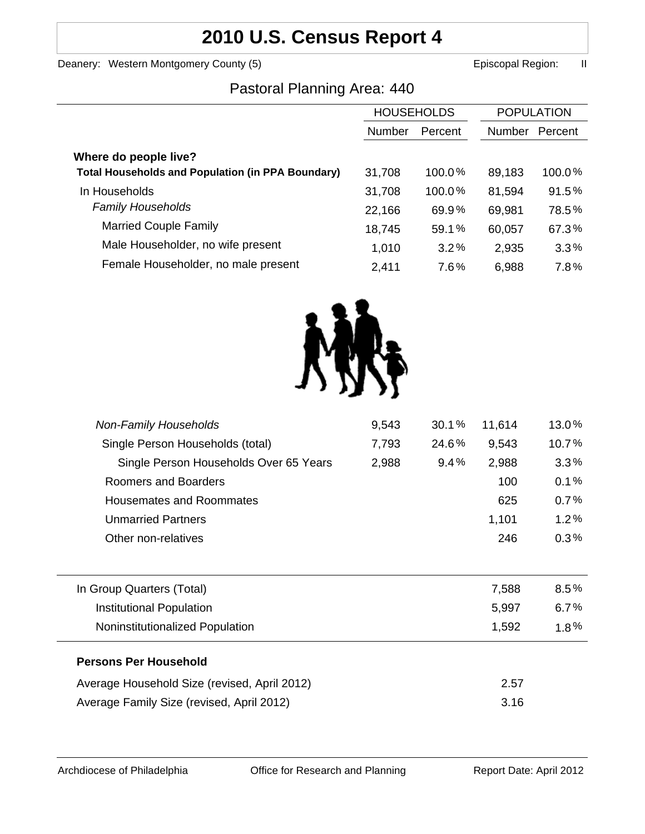# **2010 U.S. Census Report 4**

Deanery: Western Montgomery County (5) Episcopal Region: II

## Pastoral Planning Area: 440

|                                                          | <b>HOUSEHOLDS</b> |         | <b>POPULATION</b> |         |
|----------------------------------------------------------|-------------------|---------|-------------------|---------|
|                                                          | Number            | Percent | Number            | Percent |
| Where do people live?                                    |                   |         |                   |         |
| <b>Total Households and Population (in PPA Boundary)</b> | 31,708            | 100.0%  | 89,183            | 100.0%  |
| In Households                                            | 31,708            | 100.0%  | 81,594            | 91.5%   |
| <b>Family Households</b>                                 | 22,166            | 69.9%   | 69,981            | 78.5%   |
| <b>Married Couple Family</b>                             | 18,745            | 59.1%   | 60,057            | 67.3%   |
| Male Householder, no wife present                        | 1,010             | 3.2%    | 2,935             | 3.3%    |
| Female Householder, no male present                      | 2,411             | 7.6%    | 6,988             | 7.8%    |
|                                                          |                   |         |                   |         |



| <b>Non-Family Households</b>                 | 9,543 | 30.1% | 11,614 | 13.0%   |
|----------------------------------------------|-------|-------|--------|---------|
| Single Person Households (total)             | 7,793 | 24.6% | 9,543  | 10.7%   |
| Single Person Households Over 65 Years       | 2,988 | 9.4%  | 2,988  | 3.3%    |
| Roomers and Boarders                         |       |       | 100    | 0.1%    |
| <b>Housemates and Roommates</b>              |       |       | 625    | 0.7%    |
| <b>Unmarried Partners</b>                    |       |       | 1,101  | 1.2%    |
| Other non-relatives                          |       |       | 246    | $0.3\%$ |
|                                              |       |       |        |         |
| In Group Quarters (Total)                    |       |       | 7,588  | $8.5\%$ |
| <b>Institutional Population</b>              |       |       | 5,997  | 6.7%    |
| Noninstitutionalized Population              |       |       | 1,592  | $1.8\%$ |
| <b>Persons Per Household</b>                 |       |       |        |         |
| Average Household Size (revised, April 2012) |       |       | 2.57   |         |
| Average Family Size (revised, April 2012)    |       |       | 3.16   |         |
|                                              |       |       |        |         |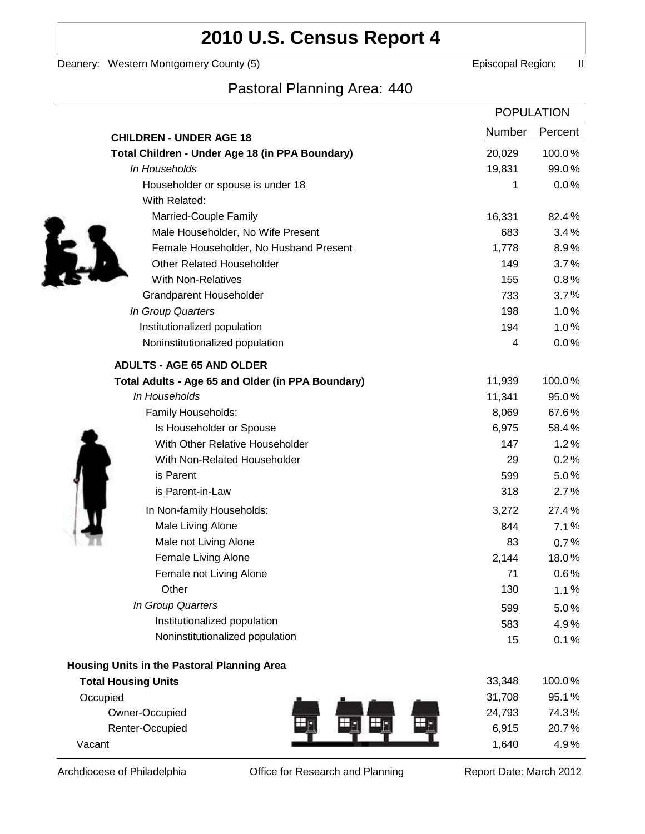# **2010 U.S. Census Report 4**

Deanery: Western Montgomery County (5) earned the control of the Episcopal Region: II

Ì

## Pastoral Planning Area: 440

|                                                   |               | <b>POPULATION</b> |
|---------------------------------------------------|---------------|-------------------|
| <b>CHILDREN - UNDER AGE 18</b>                    | <b>Number</b> | Percent           |
| Total Children - Under Age 18 (in PPA Boundary)   | 20,029        | 100.0%            |
| In Households                                     | 19,831        | 99.0%             |
| Householder or spouse is under 18                 | 1             | 0.0%              |
| With Related:                                     |               |                   |
| Married-Couple Family                             | 16,331        | 82.4%             |
| Male Householder, No Wife Present                 | 683           | 3.4%              |
| Female Householder, No Husband Present            | 1,778         | 8.9%              |
| <b>Other Related Householder</b>                  | 149           | 3.7%              |
| <b>With Non-Relatives</b>                         | 155           | 0.8%              |
| <b>Grandparent Householder</b>                    | 733           | 3.7%              |
| In Group Quarters                                 | 198           | 1.0%              |
| Institutionalized population                      | 194           | 1.0%              |
| Noninstitutionalized population                   | 4             | 0.0%              |
| <b>ADULTS - AGE 65 AND OLDER</b>                  |               |                   |
| Total Adults - Age 65 and Older (in PPA Boundary) | 11,939        | 100.0%            |
| In Households                                     | 11,341        | 95.0%             |
| Family Households:                                | 8,069         | 67.6%             |
| Is Householder or Spouse                          | 6,975         | 58.4%             |
| With Other Relative Householder                   | 147           | 1.2%              |
| With Non-Related Householder                      | 29            | 0.2%              |
| is Parent                                         | 599           | 5.0%              |
| is Parent-in-Law                                  | 318           | 2.7%              |
| In Non-family Households:                         | 3,272         | 27.4%             |
| Male Living Alone                                 | 844           | 7.1%              |
| Male not Living Alone                             | 83            | $0.7\%$           |
| Female Living Alone                               | 2,144         | 18.0%             |
| Female not Living Alone                           | 71            | $0.6\%$           |
| Other                                             | 130           | 1.1%              |
| In Group Quarters                                 | 599           | 5.0%              |
| Institutionalized population                      | 583           | 4.9%              |
| Noninstitutionalized population                   | 15            | 0.1%              |
| Housing Units in the Pastoral Planning Area       |               |                   |
| <b>Total Housing Units</b>                        | 33,348        | 100.0%            |
| Occupied                                          | 31,708        | 95.1%             |
| Owner-Occupied                                    | 24,793        | 74.3%             |
| Renter-Occupied                                   | 6,915         | 20.7%             |
| Vacant                                            | 1,640         | 4.9%              |

Archdiocese of Philadelphia **Office for Research and Planning** Report Date: March 2012